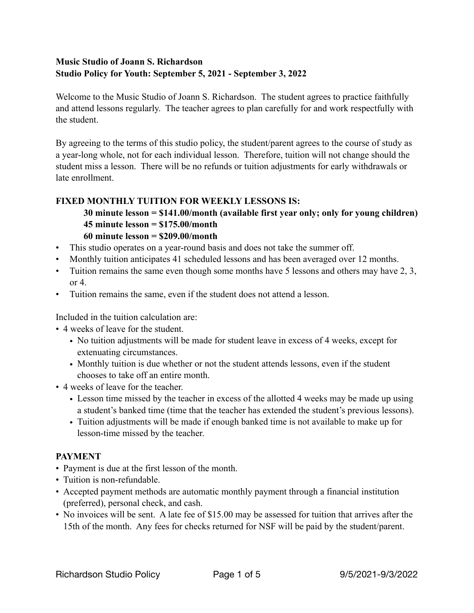## **Music Studio of Joann S. Richardson Studio Policy for Youth: September 5, 2021 - September 3, 2022**

Welcome to the Music Studio of Joann S. Richardson. The student agrees to practice faithfully and attend lessons regularly. The teacher agrees to plan carefully for and work respectfully with the student.

By agreeing to the terms of this studio policy, the student/parent agrees to the course of study as a year-long whole, not for each individual lesson. Therefore, tuition will not change should the student miss a lesson. There will be no refunds or tuition adjustments for early withdrawals or late enrollment.

# **FIXED MONTHLY TUITION FOR WEEKLY LESSONS IS:**

 **30 minute lesson = \$141.00/month (available first year only; only for young children) 45 minute lesson = \$175.00/month** 

### **60 minute lesson = \$209.00/month**

- This studio operates on a year-round basis and does not take the summer off.
- Monthly tuition anticipates 41 scheduled lessons and has been averaged over 12 months.
- Tuition remains the same even though some months have 5 lessons and others may have 2, 3, or  $4$
- Tuition remains the same, even if the student does not attend a lesson.

Included in the tuition calculation are:

- 4 weeks of leave for the student.
	- No tuition adjustments will be made for student leave in excess of 4 weeks, except for extenuating circumstances.
	- Monthly tuition is due whether or not the student attends lessons, even if the student chooses to take off an entire month.
- 4 weeks of leave for the teacher.
	- Lesson time missed by the teacher in excess of the allotted 4 weeks may be made up using a student's banked time (time that the teacher has extended the student's previous lessons).
	- Tuition adjustments will be made if enough banked time is not available to make up for lesson-time missed by the teacher.

## **PAYMENT**

- Payment is due at the first lesson of the month.
- Tuition is non-refundable.
- Accepted payment methods are automatic monthly payment through a financial institution (preferred), personal check, and cash.
- No invoices will be sent. A late fee of \$15.00 may be assessed for tuition that arrives after the 15th of the month. Any fees for checks returned for NSF will be paid by the student/parent.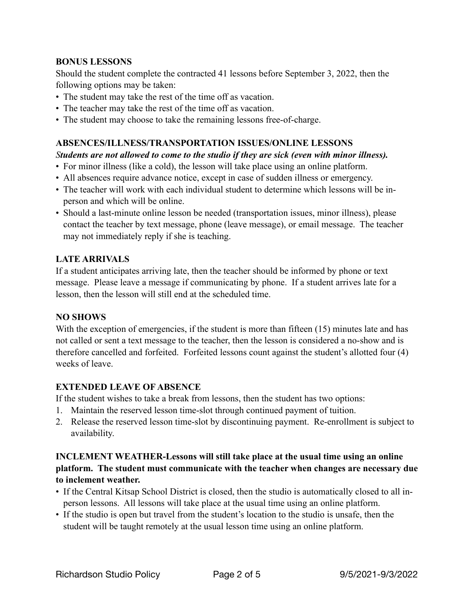### **BONUS LESSONS**

Should the student complete the contracted 41 lessons before September 3, 2022, then the following options may be taken:

- The student may take the rest of the time off as vacation.
- The teacher may take the rest of the time off as vacation.
- The student may choose to take the remaining lessons free-of-charge.

### **ABSENCES/ILLNESS/TRANSPORTATION ISSUES/ONLINE LESSONS**

#### *Students are not allowed to come to the studio if they are sick (even with minor illness).*

- For minor illness (like a cold), the lesson will take place using an online platform.
- All absences require advance notice, except in case of sudden illness or emergency.
- The teacher will work with each individual student to determine which lessons will be inperson and which will be online.
- Should a last-minute online lesson be needed (transportation issues, minor illness), please contact the teacher by text message, phone (leave message), or email message. The teacher may not immediately reply if she is teaching.

### **LATE ARRIVALS**

If a student anticipates arriving late, then the teacher should be informed by phone or text message. Please leave a message if communicating by phone. If a student arrives late for a lesson, then the lesson will still end at the scheduled time.

#### **NO SHOWS**

With the exception of emergencies, if the student is more than fifteen (15) minutes late and has not called or sent a text message to the teacher, then the lesson is considered a no-show and is therefore cancelled and forfeited. Forfeited lessons count against the student's allotted four (4) weeks of leave.

### **EXTENDED LEAVE OF ABSENCE**

If the student wishes to take a break from lessons, then the student has two options:

- 1. Maintain the reserved lesson time-slot through continued payment of tuition.
- 2. Release the reserved lesson time-slot by discontinuing payment. Re-enrollment is subject to availability.

### **INCLEMENT WEATHER-Lessons will still take place at the usual time using an online platform. The student must communicate with the teacher when changes are necessary due to inclement weather.**

- If the Central Kitsap School District is closed, then the studio is automatically closed to all inperson lessons. All lessons will take place at the usual time using an online platform.
- If the studio is open but travel from the student's location to the studio is unsafe, then the student will be taught remotely at the usual lesson time using an online platform.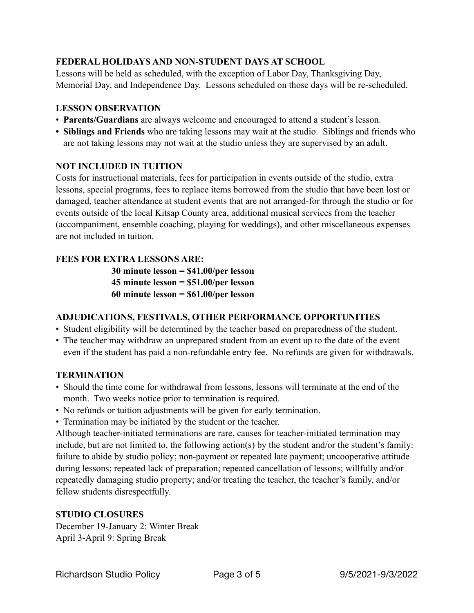# **FEDERAL HOLIDAYS AND NON-STUDENT DAYS AT SCHOOL**

Lessons will be held as scheduled, with the exception of Labor Day, Thanksgiving Day, Memorial Day, and Independence Day. Lessons scheduled on those days will be re-scheduled.

### **LESSON OBSERVATION**

- **Parents/Guardians** are always welcome and encouraged to attend a student's lesson.
- **• Siblings and Friends** who are taking lessons may wait at the studio. Siblings and friends who are not taking lessons may not wait at the studio unless they are supervised by an adult.

## **NOT INCLUDED IN TUITION**

Costs for instructional materials, fees for participation in events outside of the studio, extra lessons, special programs, fees to replace items borrowed from the studio that have been lost or damaged, teacher attendance at student events that are not arranged-for through the studio or for events outside of the local Kitsap County area, additional musical services from the teacher (accompaniment, ensemble coaching, playing for weddings), and other miscellaneous expenses are not included in tuition.

# **FEES FOR EXTRA LESSONS ARE:**

**30 minute lesson = \$41.00/per lesson 45 minute lesson = \$51.00/per lesson 60 minute lesson = \$61.00/per lesson** 

## **ADJUDICATIONS, FESTIVALS, OTHER PERFORMANCE OPPORTUNITIES**

- Student eligibility will be determined by the teacher based on preparedness of the student.
- The teacher may withdraw an unprepared student from an event up to the date of the event even if the student has paid a non-refundable entry fee. No refunds are given for withdrawals.

## **TERMINATION**

- Should the time come for withdrawal from lessons, lessons will terminate at the end of the month. Two weeks notice prior to termination is required.
- No refunds or tuition adjustments will be given for early termination.
- Termination may be initiated by the student or the teacher.

Although teacher-initiated terminations are rare, causes for teacher-initiated termination may include, but are not limited to, the following action(s) by the student and/or the student's family: failure to abide by studio policy; non-payment or repeated late payment; uncooperative attitude during lessons; repeated lack of preparation; repeated cancellation of lessons; willfully and/or repeatedly damaging studio property; and/or treating the teacher, the teacher's family, and/or fellow students disrespectfully.

# **STUDIO CLOSURES**

December 19-January 2: Winter Break April 3-April 9: Spring Break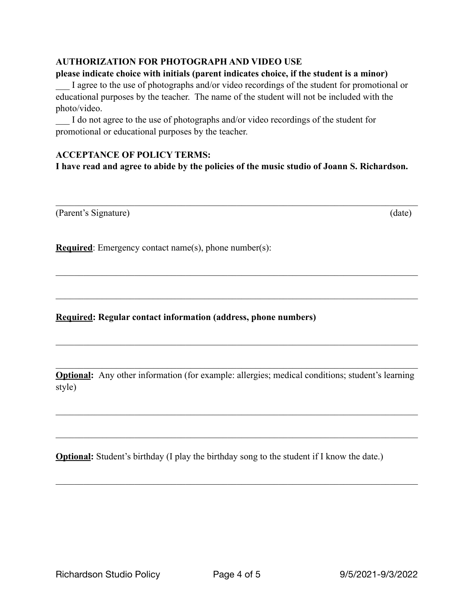### **AUTHORIZATION FOR PHOTOGRAPH AND VIDEO USE**

#### **please indicate choice with initials (parent indicates choice, if the student is a minor)**

I agree to the use of photographs and/or video recordings of the student for promotional or educational purposes by the teacher. The name of the student will not be included with the photo/video.

I do not agree to the use of photographs and/or video recordings of the student for promotional or educational purposes by the teacher.

#### **ACCEPTANCE OF POLICY TERMS:**

**I have read and agree to abide by the policies of the music studio of Joann S. Richardson.** 

 $\mathcal{L}_\mathcal{L} = \{ \mathcal{L}_\mathcal{L} = \{ \mathcal{L}_\mathcal{L} = \{ \mathcal{L}_\mathcal{L} = \{ \mathcal{L}_\mathcal{L} = \{ \mathcal{L}_\mathcal{L} = \{ \mathcal{L}_\mathcal{L} = \{ \mathcal{L}_\mathcal{L} = \{ \mathcal{L}_\mathcal{L} = \{ \mathcal{L}_\mathcal{L} = \{ \mathcal{L}_\mathcal{L} = \{ \mathcal{L}_\mathcal{L} = \{ \mathcal{L}_\mathcal{L} = \{ \mathcal{L}_\mathcal{L} = \{ \mathcal{L}_\mathcal{$ 

 $\mathcal{L}_\mathcal{L} = \{ \mathcal{L}_\mathcal{L} = \{ \mathcal{L}_\mathcal{L} = \{ \mathcal{L}_\mathcal{L} = \{ \mathcal{L}_\mathcal{L} = \{ \mathcal{L}_\mathcal{L} = \{ \mathcal{L}_\mathcal{L} = \{ \mathcal{L}_\mathcal{L} = \{ \mathcal{L}_\mathcal{L} = \{ \mathcal{L}_\mathcal{L} = \{ \mathcal{L}_\mathcal{L} = \{ \mathcal{L}_\mathcal{L} = \{ \mathcal{L}_\mathcal{L} = \{ \mathcal{L}_\mathcal{L} = \{ \mathcal{L}_\mathcal{$ 

 $\mathcal{L}_\mathcal{L} = \{ \mathcal{L}_\mathcal{L} = \{ \mathcal{L}_\mathcal{L} = \{ \mathcal{L}_\mathcal{L} = \{ \mathcal{L}_\mathcal{L} = \{ \mathcal{L}_\mathcal{L} = \{ \mathcal{L}_\mathcal{L} = \{ \mathcal{L}_\mathcal{L} = \{ \mathcal{L}_\mathcal{L} = \{ \mathcal{L}_\mathcal{L} = \{ \mathcal{L}_\mathcal{L} = \{ \mathcal{L}_\mathcal{L} = \{ \mathcal{L}_\mathcal{L} = \{ \mathcal{L}_\mathcal{L} = \{ \mathcal{L}_\mathcal{$ 

 $\mathcal{L}_\mathcal{L} = \{ \mathcal{L}_\mathcal{L} = \{ \mathcal{L}_\mathcal{L} = \{ \mathcal{L}_\mathcal{L} = \{ \mathcal{L}_\mathcal{L} = \{ \mathcal{L}_\mathcal{L} = \{ \mathcal{L}_\mathcal{L} = \{ \mathcal{L}_\mathcal{L} = \{ \mathcal{L}_\mathcal{L} = \{ \mathcal{L}_\mathcal{L} = \{ \mathcal{L}_\mathcal{L} = \{ \mathcal{L}_\mathcal{L} = \{ \mathcal{L}_\mathcal{L} = \{ \mathcal{L}_\mathcal{L} = \{ \mathcal{L}_\mathcal{$ 

 $\mathcal{L}_\mathcal{L} = \{ \mathcal{L}_\mathcal{L} = \{ \mathcal{L}_\mathcal{L} = \{ \mathcal{L}_\mathcal{L} = \{ \mathcal{L}_\mathcal{L} = \{ \mathcal{L}_\mathcal{L} = \{ \mathcal{L}_\mathcal{L} = \{ \mathcal{L}_\mathcal{L} = \{ \mathcal{L}_\mathcal{L} = \{ \mathcal{L}_\mathcal{L} = \{ \mathcal{L}_\mathcal{L} = \{ \mathcal{L}_\mathcal{L} = \{ \mathcal{L}_\mathcal{L} = \{ \mathcal{L}_\mathcal{L} = \{ \mathcal{L}_\mathcal{$ 

(Parent's Signature) (date)

**Required**: Emergency contact name(s), phone number(s):

**Required: Regular contact information (address, phone numbers)** 

**Optional:** Any other information (for example: allergies; medical conditions; student's learning style)

 $\mathcal{L}_\mathcal{L} = \{ \mathcal{L}_\mathcal{L} = \{ \mathcal{L}_\mathcal{L} = \{ \mathcal{L}_\mathcal{L} = \{ \mathcal{L}_\mathcal{L} = \{ \mathcal{L}_\mathcal{L} = \{ \mathcal{L}_\mathcal{L} = \{ \mathcal{L}_\mathcal{L} = \{ \mathcal{L}_\mathcal{L} = \{ \mathcal{L}_\mathcal{L} = \{ \mathcal{L}_\mathcal{L} = \{ \mathcal{L}_\mathcal{L} = \{ \mathcal{L}_\mathcal{L} = \{ \mathcal{L}_\mathcal{L} = \{ \mathcal{L}_\mathcal{$ 

 $\mathcal{L}_\mathcal{L} = \{ \mathcal{L}_\mathcal{L} = \{ \mathcal{L}_\mathcal{L} = \{ \mathcal{L}_\mathcal{L} = \{ \mathcal{L}_\mathcal{L} = \{ \mathcal{L}_\mathcal{L} = \{ \mathcal{L}_\mathcal{L} = \{ \mathcal{L}_\mathcal{L} = \{ \mathcal{L}_\mathcal{L} = \{ \mathcal{L}_\mathcal{L} = \{ \mathcal{L}_\mathcal{L} = \{ \mathcal{L}_\mathcal{L} = \{ \mathcal{L}_\mathcal{L} = \{ \mathcal{L}_\mathcal{L} = \{ \mathcal{L}_\mathcal{$ 

 $\mathcal{L}_\mathcal{L} = \{ \mathcal{L}_\mathcal{L} = \{ \mathcal{L}_\mathcal{L} = \{ \mathcal{L}_\mathcal{L} = \{ \mathcal{L}_\mathcal{L} = \{ \mathcal{L}_\mathcal{L} = \{ \mathcal{L}_\mathcal{L} = \{ \mathcal{L}_\mathcal{L} = \{ \mathcal{L}_\mathcal{L} = \{ \mathcal{L}_\mathcal{L} = \{ \mathcal{L}_\mathcal{L} = \{ \mathcal{L}_\mathcal{L} = \{ \mathcal{L}_\mathcal{L} = \{ \mathcal{L}_\mathcal{L} = \{ \mathcal{L}_\mathcal{$ 

**Optional:** Student's birthday (I play the birthday song to the student if I know the date.)